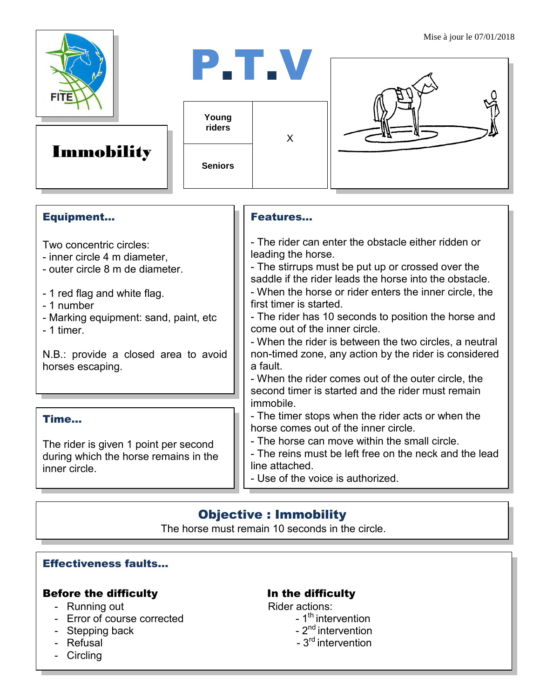

# Immobility

P.T.V **Young riders** X

**Seniors** 



## Equipment...

Two concentric circles:

- inner circle 4 m diameter,
- outer circle 8 m de diameter.
- 1 red flag and white flag.
- 1 number
- Marking equipment: sand, paint, etc

- 1 timer.

N.B.: provide a closed area to avoid horses escaping.

## Time...

The rider is given 1 point per second during which the horse remains in the inner circle.

### Features…

- The rider can enter the obstacle either ridden or leading the horse.

- The stirrups must be put up or crossed over the saddle if the rider leads the horse into the obstacle. - When the horse or rider enters the inner circle, the first timer is started.

- The rider has 10 seconds to position the horse and come out of the inner circle.

- When the rider is between the two circles, a neutral non-timed zone, any action by the rider is considered a fault.

- When the rider comes out of the outer circle, the second timer is started and the rider must remain immobile.

- The timer stops when the rider acts or when the horse comes out of the inner circle.

- The horse can move within the small circle.

- The reins must be left free on the neck and the lead line attached.

- Use of the voice is authorized.

## Objective : Immobility

The horse must remain 10 seconds in the circle.

## Effectiveness faults…

## Before the difficulty **In the difficulty**

- Running out Rider actions:
- Error of course corrected
- Stepping back
- Refusal
- Circling

- $-1<sup>th</sup>$  intervention
- $-2<sup>nd</sup>$  intervention
- $3<sup>rd</sup>$  intervention